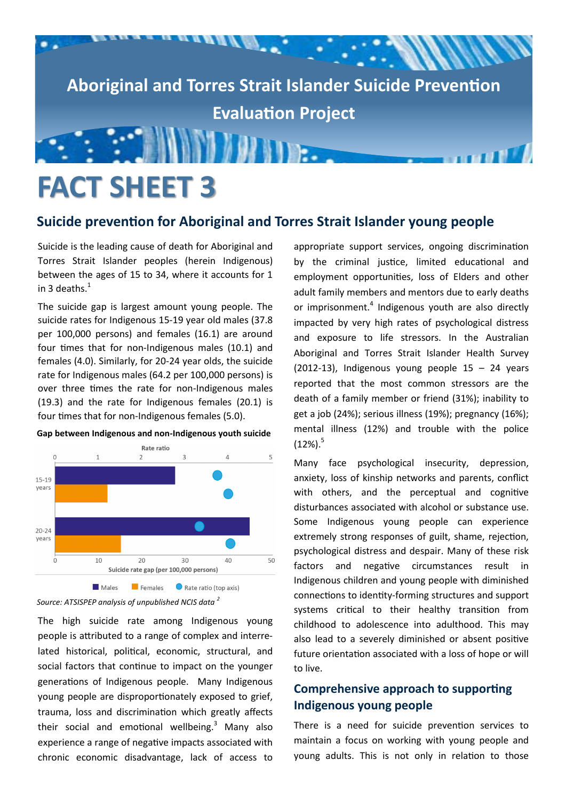## **Aboriginal and Torres Strait Islander Suicide Prevention Evaluation Project**

# **FACT SHEET 3**

### **Suicide prevention for Aboriginal and Torres Strait Islander young people**

Suicide is the leading cause of death for Aboriginal and Torres Strait Islander peoples (herein Indigenous) between the ages of 15 to 34, where it accounts for 1 in 3 deaths. $1$ 

The suicide gap is largest amount young people. The suicide rates for Indigenous 15-19 year old males (37.8 per 100,000 persons) and females (16.1) are around four times that for non-Indigenous males (10.1) and females (4.0). Similarly, for 20-24 year olds, the suicide rate for Indigenous males (64.2 per 100,000 persons) is over three times the rate for non-Indigenous males (19.3) and the rate for Indigenous females (20.1) is four times that for non-Indigenous females (5.0).





*Source: ATSISPEP analysis of unpublished NCIS data <sup>2</sup>*

The high suicide rate among Indigenous young people is attributed to a range of complex and interrelated historical, political, economic, structural, and social factors that continue to impact on the younger generations of Indigenous people. Many Indigenous young people are disproportionately exposed to grief, trauma, loss and discrimination which greatly affects their social and emotional wellbeing.<sup>3</sup> Many also experience a range of negative impacts associated with chronic economic disadvantage, lack of access to appropriate support services, ongoing discrimination by the criminal justice, limited educational and employment opportunities, loss of Elders and other adult family members and mentors due to early deaths or imprisonment.<sup>4</sup> Indigenous youth are also directly impacted by very high rates of psychological distress and exposure to life stressors. In the Australian Aboriginal and Torres Strait Islander Health Survey (2012-13), Indigenous young people 15 – 24 years reported that the most common stressors are the death of a family member or friend (31%); inability to get a job (24%); serious illness (19%); pregnancy (16%); mental illness (12%) and trouble with the police  $(12\%)$ .<sup>5</sup>

Many face psychological insecurity, depression, anxiety, loss of kinship networks and parents, conflict with others, and the perceptual and cognitive disturbances associated with alcohol or substance use. Some Indigenous young people can experience extremely strong responses of guilt, shame, rejection, psychological distress and despair. Many of these risk factors and negative circumstances result in Indigenous children and young people with diminished connections to identity-forming structures and support systems critical to their healthy transition from childhood to adolescence into adulthood. This may also lead to a severely diminished or absent positive future orientation associated with a loss of hope or will to live.

#### **Comprehensive approach to supporting Indigenous young people**

There is a need for suicide prevention services to maintain a focus on working with young people and young adults. This is not only in relation to those